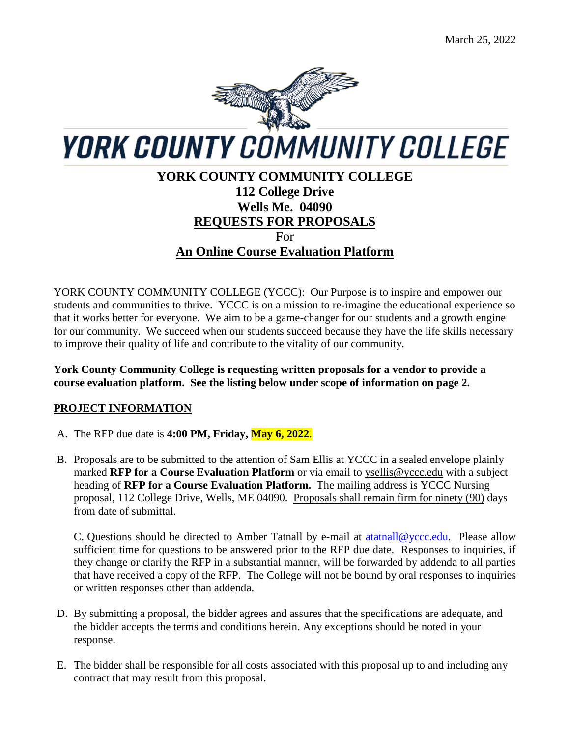

# **YORK COUNTY COMMUNITY COLLEGE 112 College Drive Wells Me. 04090 REQUESTS FOR PROPOSALS** For **An Online Course Evaluation Platform**

YORK COUNTY COMMUNITY COLLEGE (YCCC): Our Purpose is to inspire and empower our students and communities to thrive. YCCC is on a mission to re-imagine the educational experience so that it works better for everyone. We aim to be a game-changer for our students and a growth engine for our community. We succeed when our students succeed because they have the life skills necessary to improve their quality of life and contribute to the vitality of our community.

**York County Community College is requesting written proposals for a vendor to provide a course evaluation platform. See the listing below under scope of information on page 2.**

# **PROJECT INFORMATION**

- A. The RFP due date is **4:00 PM, Friday, May 6, 2022**.
- B. Proposals are to be submitted to the attention of Sam Ellis at YCCC in a sealed envelope plainly marked **RFP for a Course Evaluation Platform** or via email to [ysellis@yccc.edu](mailto:ysellis@yccc.edu) with a subject heading of **RFP for a Course Evaluation Platform.** The mailing address is YCCC Nursing proposal, 112 College Drive, Wells, ME 04090. Proposals shall remain firm for ninety (90) days from date of submittal.

C. Questions should be directed to Amber Tatnall by e-mail at [atatnall@yccc.edu.](mailto:atatnall@yccc.edu) Please allow sufficient time for questions to be answered prior to the RFP due date. Responses to inquiries, if they change or clarify the RFP in a substantial manner, will be forwarded by addenda to all parties that have received a copy of the RFP. The College will not be bound by oral responses to inquiries or written responses other than addenda.

- D. By submitting a proposal, the bidder agrees and assures that the specifications are adequate, and the bidder accepts the terms and conditions herein. Any exceptions should be noted in your response.
- E. The bidder shall be responsible for all costs associated with this proposal up to and including any contract that may result from this proposal.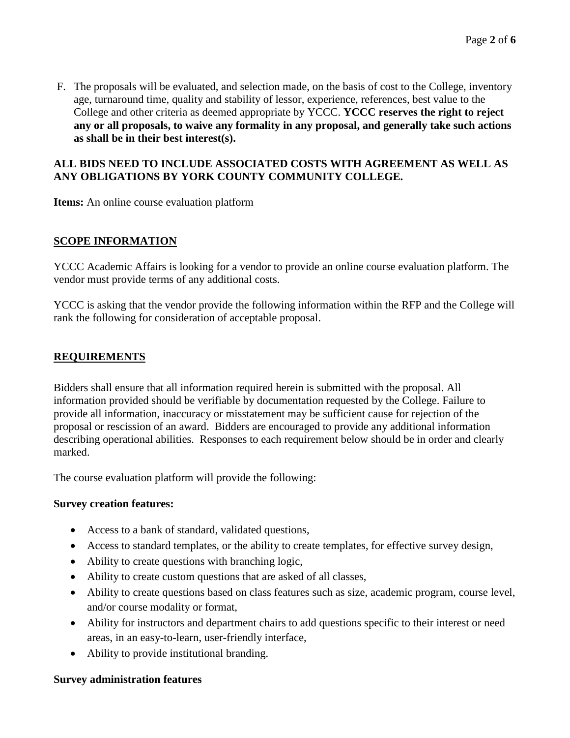F. The proposals will be evaluated, and selection made, on the basis of cost to the College, inventory age, turnaround time, quality and stability of lessor, experience, references, best value to the College and other criteria as deemed appropriate by YCCC. **YCCC reserves the right to reject any or all proposals, to waive any formality in any proposal, and generally take such actions as shall be in their best interest(s).**

### **ALL BIDS NEED TO INCLUDE ASSOCIATED COSTS WITH AGREEMENT AS WELL AS ANY OBLIGATIONS BY YORK COUNTY COMMUNITY COLLEGE.**

**Items:** An online course evaluation platform

### **SCOPE INFORMATION**

YCCC Academic Affairs is looking for a vendor to provide an online course evaluation platform. The vendor must provide terms of any additional costs.

YCCC is asking that the vendor provide the following information within the RFP and the College will rank the following for consideration of acceptable proposal.

## **REQUIREMENTS**

Bidders shall ensure that all information required herein is submitted with the proposal. All information provided should be verifiable by documentation requested by the College. Failure to provide all information, inaccuracy or misstatement may be sufficient cause for rejection of the proposal or rescission of an award. Bidders are encouraged to provide any additional information describing operational abilities. Responses to each requirement below should be in order and clearly marked.

The course evaluation platform will provide the following:

### **Survey creation features:**

- Access to a bank of standard, validated questions,
- Access to standard templates, or the ability to create templates, for effective survey design,
- Ability to create questions with branching logic,
- Ability to create custom questions that are asked of all classes,
- Ability to create questions based on class features such as size, academic program, course level, and/or course modality or format,
- Ability for instructors and department chairs to add questions specific to their interest or need areas, in an easy-to-learn, user-friendly interface,
- Ability to provide institutional branding.

#### **Survey administration features**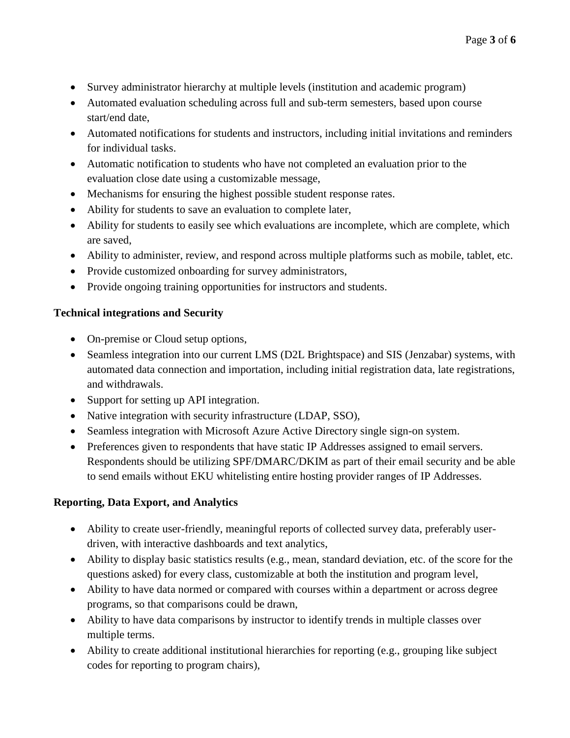- Survey administrator hierarchy at multiple levels (institution and academic program)
- Automated evaluation scheduling across full and sub-term semesters, based upon course start/end date,
- Automated notifications for students and instructors, including initial invitations and reminders for individual tasks.
- Automatic notification to students who have not completed an evaluation prior to the evaluation close date using a customizable message,
- Mechanisms for ensuring the highest possible student response rates.
- Ability for students to save an evaluation to complete later,
- Ability for students to easily see which evaluations are incomplete, which are complete, which are saved,
- Ability to administer, review, and respond across multiple platforms such as mobile, tablet, etc.
- Provide customized onboarding for survey administrators,
- Provide ongoing training opportunities for instructors and students.

### **Technical integrations and Security**

- On-premise or Cloud setup options,
- Seamless integration into our current LMS (D2L Brightspace) and SIS (Jenzabar) systems, with automated data connection and importation, including initial registration data, late registrations, and withdrawals.
- Support for setting up API integration.
- Native integration with security infrastructure (LDAP, SSO),
- Seamless integration with Microsoft Azure Active Directory single sign-on system.
- Preferences given to respondents that have static IP Addresses assigned to email servers. Respondents should be utilizing SPF/DMARC/DKIM as part of their email security and be able to send emails without EKU whitelisting entire hosting provider ranges of IP Addresses.

# **Reporting, Data Export, and Analytics**

- Ability to create user-friendly, meaningful reports of collected survey data, preferably userdriven, with interactive dashboards and text analytics,
- Ability to display basic statistics results (e.g., mean, standard deviation, etc. of the score for the questions asked) for every class, customizable at both the institution and program level,
- Ability to have data normed or compared with courses within a department or across degree programs, so that comparisons could be drawn,
- Ability to have data comparisons by instructor to identify trends in multiple classes over multiple terms.
- Ability to create additional institutional hierarchies for reporting (e.g., grouping like subject codes for reporting to program chairs),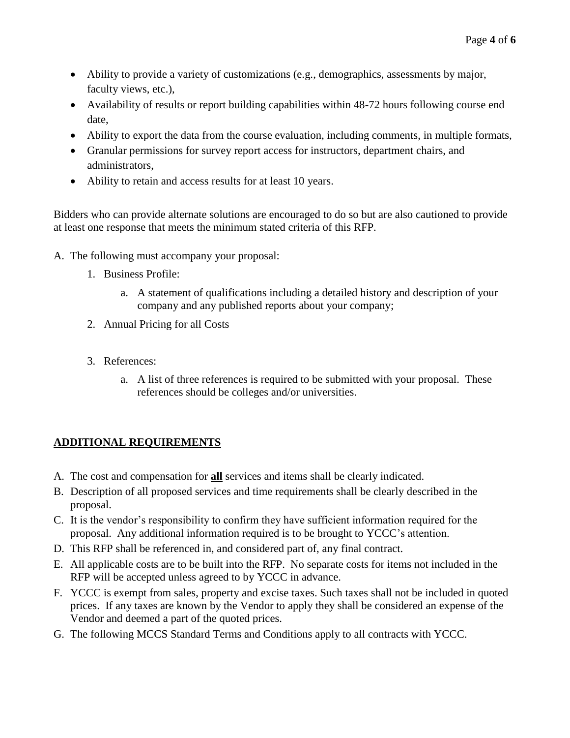- Ability to provide a variety of customizations (e.g., demographics, assessments by major, faculty views, etc.),
- Availability of results or report building capabilities within 48-72 hours following course end date,
- Ability to export the data from the course evaluation, including comments, in multiple formats,
- Granular permissions for survey report access for instructors, department chairs, and administrators,
- Ability to retain and access results for at least 10 years.

Bidders who can provide alternate solutions are encouraged to do so but are also cautioned to provide at least one response that meets the minimum stated criteria of this RFP.

- A. The following must accompany your proposal:
	- 1. Business Profile:
		- a. A statement of qualifications including a detailed history and description of your company and any published reports about your company;
	- 2. Annual Pricing for all Costs
	- 3. References:
		- a. A list of three references is required to be submitted with your proposal. These references should be colleges and/or universities.

# **ADDITIONAL REQUIREMENTS**

- A. The cost and compensation for **all** services and items shall be clearly indicated.
- B. Description of all proposed services and time requirements shall be clearly described in the proposal.
- C. It is the vendor's responsibility to confirm they have sufficient information required for the proposal. Any additional information required is to be brought to YCCC's attention.
- D. This RFP shall be referenced in, and considered part of, any final contract.
- E. All applicable costs are to be built into the RFP. No separate costs for items not included in the RFP will be accepted unless agreed to by YCCC in advance.
- F. YCCC is exempt from sales, property and excise taxes. Such taxes shall not be included in quoted prices. If any taxes are known by the Vendor to apply they shall be considered an expense of the Vendor and deemed a part of the quoted prices.
- G. The following MCCS Standard Terms and Conditions apply to all contracts with YCCC.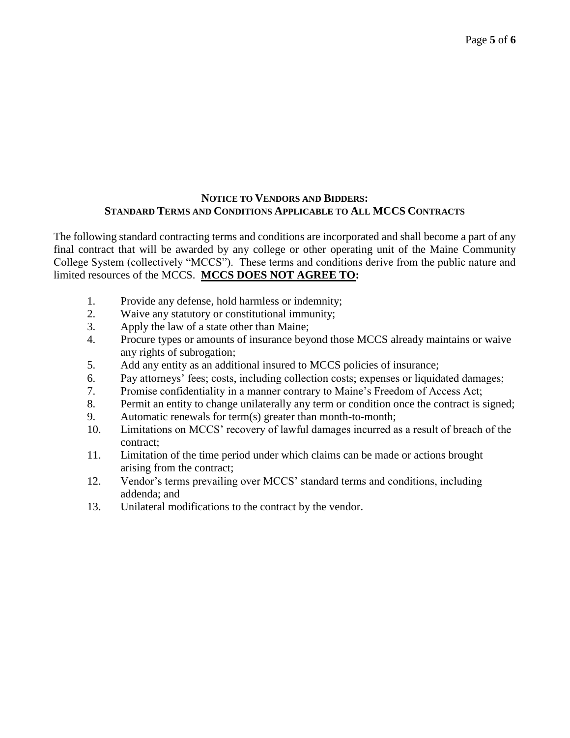#### **NOTICE TO VENDORS AND BIDDERS: STANDARD TERMS AND CONDITIONS APPLICABLE TO ALL MCCS CONTRACTS**

The following standard contracting terms and conditions are incorporated and shall become a part of any final contract that will be awarded by any college or other operating unit of the Maine Community College System (collectively "MCCS"). These terms and conditions derive from the public nature and limited resources of the MCCS. **MCCS DOES NOT AGREE TO:**

- 1. Provide any defense, hold harmless or indemnity;
- 2. Waive any statutory or constitutional immunity;
- 3. Apply the law of a state other than Maine;
- 4. Procure types or amounts of insurance beyond those MCCS already maintains or waive any rights of subrogation;
- 5. Add any entity as an additional insured to MCCS policies of insurance;
- 6. Pay attorneys' fees; costs, including collection costs; expenses or liquidated damages;
- 7. Promise confidentiality in a manner contrary to Maine's Freedom of Access Act;
- 8. Permit an entity to change unilaterally any term or condition once the contract is signed;
- 9. Automatic renewals for term(s) greater than month-to-month;
- 10. Limitations on MCCS' recovery of lawful damages incurred as a result of breach of the contract;
- 11. Limitation of the time period under which claims can be made or actions brought arising from the contract;
- 12. Vendor's terms prevailing over MCCS' standard terms and conditions, including addenda; and
- 13. Unilateral modifications to the contract by the vendor.